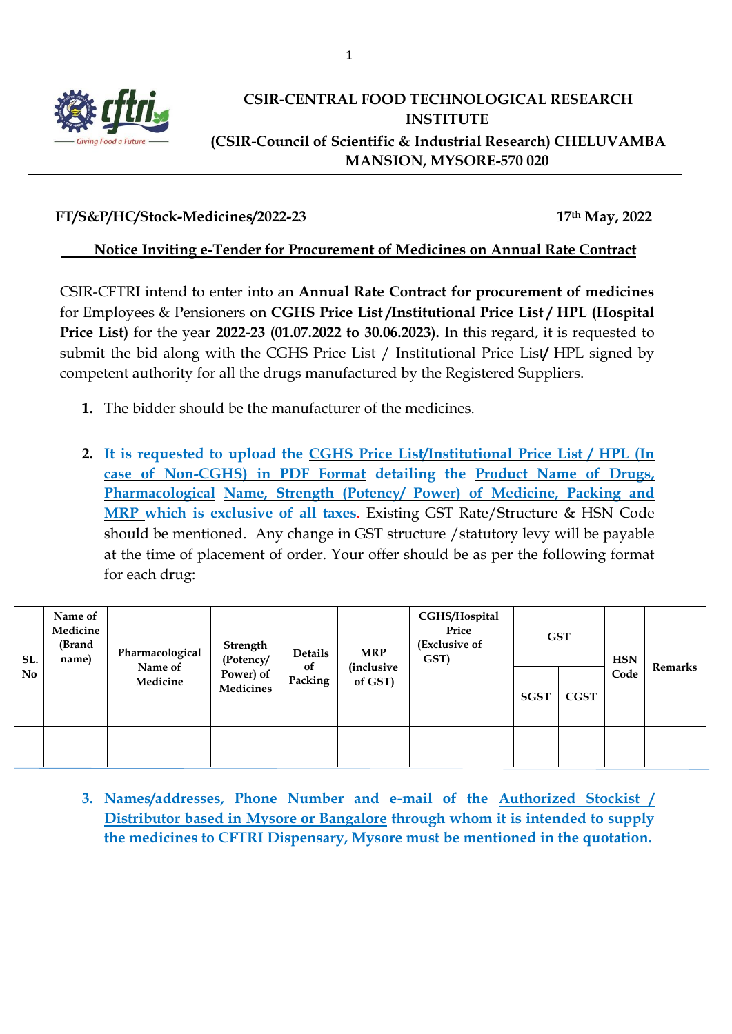

# **CSIR-CENTRAL FOOD TECHNOLOGICAL RESEARCH INSTITUTE (CSIR-Council of Scientific & Industrial Research) CHELUVAMBA MANSION, MYSORE-570 020**

# **FT/S&P/HC/Stock-Medicines/2022-23 17th May, 2022**

## **Notice Inviting e-Tender for Procurement of Medicines on Annual Rate Contract**

CSIR-CFTRI intend to enter into an **Annual Rate Contract for procurement of medicines**  for Employees & Pensioners on **CGHS Price List /Institutional Price List / HPL (Hospital Price List)** for the year **2022-23 (01.07.2022 to 30.06.2023).** In this regard, it is requested to submit the bid along with the CGHS Price List / Institutional Price List**/** HPL signed by competent authority for all the drugs manufactured by the Registered Suppliers.

- **1.** The bidder should be the manufacturer of the medicines.
- **2. It is requested to upload the CGHS Price List/Institutional Price List / HPL (In case of Non-CGHS) in PDF Format detailing the Product Name of Drugs, Pharmacological Name, Strength (Potency/ Power) of Medicine, Packing and MRP which is exclusive of all taxes.** Existing GST Rate/Structure & HSN Code should be mentioned. Any change in GST structure /statutory levy will be payable at the time of placement of order. Your offer should be as per the following format for each drug:

| SL.<br>No | Name of<br>Medicine<br>(Brand<br>name) | Pharmacological<br>Name of<br>Medicine | Strength<br>(Potency/<br>Power) of<br><b>Medicines</b> | Details<br>of<br>Packing | <b>MRP</b><br><i>(inclusive</i><br>of GST) | CGHS/Hospital<br>Price<br>(Exclusive of<br>GST) | <b>GST</b>  |             | <b>HSN</b> | Remarks |
|-----------|----------------------------------------|----------------------------------------|--------------------------------------------------------|--------------------------|--------------------------------------------|-------------------------------------------------|-------------|-------------|------------|---------|
|           |                                        |                                        |                                                        |                          |                                            |                                                 | <b>SGST</b> | <b>CGST</b> | Code       |         |
|           |                                        |                                        |                                                        |                          |                                            |                                                 |             |             |            |         |

**3. Names/addresses, Phone Number and e-mail of the Authorized Stockist / Distributor based in Mysore or Bangalore through whom it is intended to supply the medicines to CFTRI Dispensary, Mysore must be mentioned in the quotation.**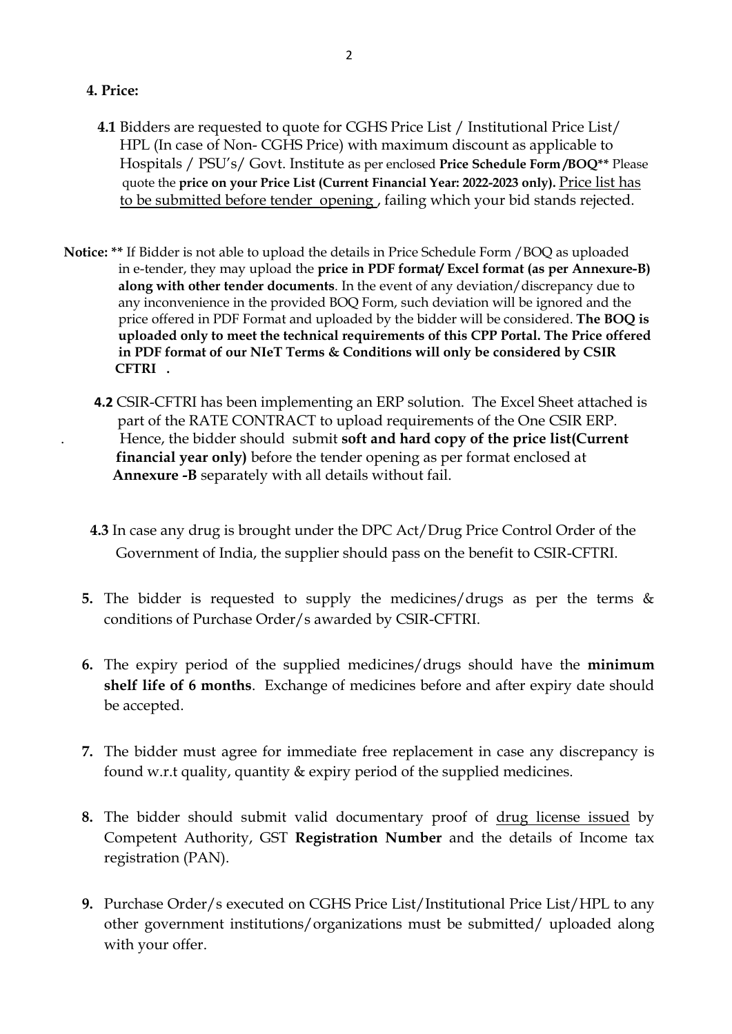### **4. Price:**

- **4.1** Bidders are requested to quote for CGHS Price List / Institutional Price List/ HPL (In case of Non- CGHS Price) with maximum discount as applicable to Hospitals / PSU's/ Govt. Institute as per enclosed **Price Schedule Form /BOQ\*\*** Please quote the **price on your Price List (Current Financial Year: 2022-2023 only).** Price list has to be submitted before tender opening , failing which your bid stands rejected.
- **Notice: \*\*** If Bidder is not able to upload the details in Price Schedule Form /BOQ as uploaded in e-tender, they may upload the **price in PDF format/ Excel format (as per Annexure-B) along with other tender documents**. In the event of any deviation/discrepancy due to any inconvenience in the provided BOQ Form, such deviation will be ignored and the price offered in PDF Format and uploaded by the bidder will be considered. **The BOQ is uploaded only to meet the technical requirements of this CPP Portal. The Price offered in PDF format of our NIeT Terms & Conditions will only be considered by CSIR CFTRI .**
	- **4.2** CSIR-CFTRI has been implementing an ERP solution. The Excel Sheet attached is part of the RATE CONTRACT to upload requirements of the One CSIR ERP. . Hence, the bidder should submit **soft and hard copy of the price list(Current financial year only)** before the tender opening as per format enclosed at  **Annexure -B** separately with all details without fail.
	- **4.3** In case any drug is brought under the DPC Act/Drug Price Control Order of the Government of India, the supplier should pass on the benefit to CSIR-CFTRI.
	- **5.** The bidder is requested to supply the medicines/drugs as per the terms & conditions of Purchase Order/s awarded by CSIR-CFTRI.
	- **6.** The expiry period of the supplied medicines/drugs should have the **minimum shelf life of 6 months**. Exchange of medicines before and after expiry date should be accepted.
	- **7.** The bidder must agree for immediate free replacement in case any discrepancy is found w.r.t quality, quantity & expiry period of the supplied medicines.
	- **8.** The bidder should submit valid documentary proof of drug license issued by Competent Authority, GST **Registration Number** and the details of Income tax registration (PAN).
	- **9.** Purchase Order/s executed on CGHS Price List/Institutional Price List/HPL to any other government institutions/organizations must be submitted/ uploaded along with your offer.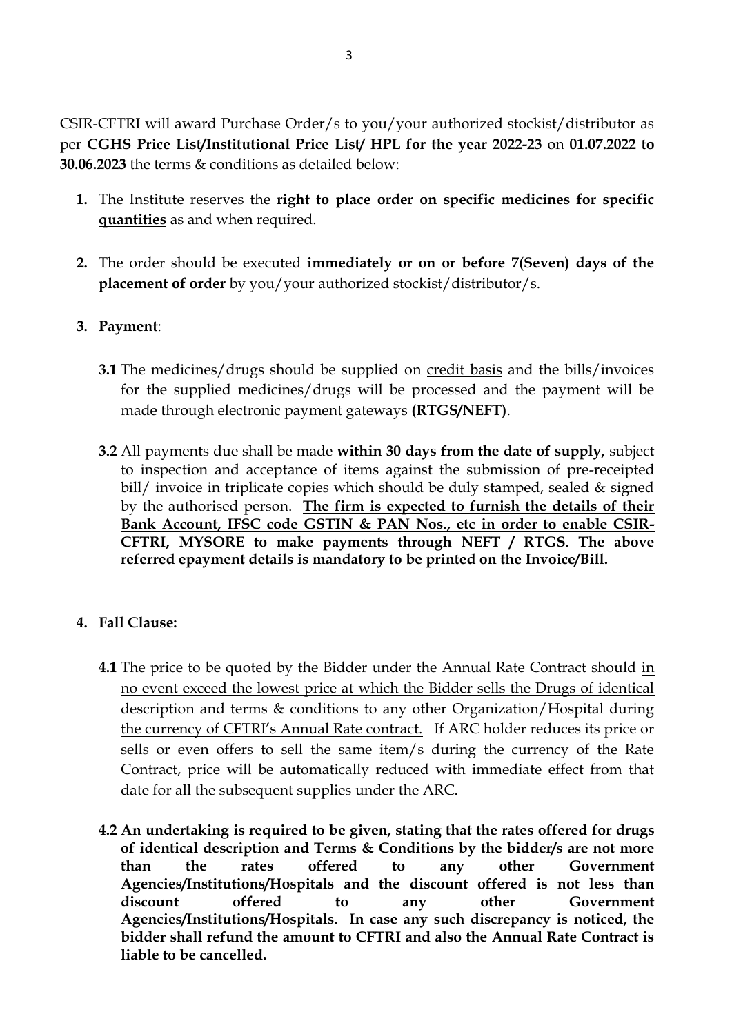CSIR-CFTRI will award Purchase Order/s to you/your authorized stockist/distributor as per **CGHS Price List/Institutional Price List/ HPL for the year 2022-23** on **01.07.2022 to 30.06.2023** the terms & conditions as detailed below:

- **1.** The Institute reserves the **right to place order on specific medicines for specific quantities** as and when required.
- **2.** The order should be executed **immediately or on or before 7(Seven) days of the placement of order** by you/your authorized stockist/distributor/s.

# **3. Payment**:

- **3.1** The medicines/drugs should be supplied on credit basis and the bills/invoices for the supplied medicines/drugs will be processed and the payment will be made through electronic payment gateways **(RTGS/NEFT)**.
- **3.2** All payments due shall be made **within 30 days from the date of supply,** subject to inspection and acceptance of items against the submission of pre-receipted bill/ invoice in triplicate copies which should be duly stamped, sealed & signed by the authorised person. **The firm is expected to furnish the details of their Bank Account, IFSC code GSTIN & PAN Nos., etc in order to enable CSIR-CFTRI, MYSORE to make payments through NEFT / RTGS. The above referred epayment details is mandatory to be printed on the Invoice/Bill.**

# **4. Fall Clause:**

- **4.1** The price to be quoted by the Bidder under the Annual Rate Contract should in no event exceed the lowest price at which the Bidder sells the Drugs of identical description and terms & conditions to any other Organization/Hospital during the currency of CFTRI's Annual Rate contract. If ARC holder reduces its price or sells or even offers to sell the same item/s during the currency of the Rate Contract, price will be automatically reduced with immediate effect from that date for all the subsequent supplies under the ARC.
- **4.2 An undertaking is required to be given, stating that the rates offered for drugs of identical description and Terms & Conditions by the bidder/s are not more than the rates offered to any other Government Agencies/Institutions/Hospitals and the discount offered is not less than discount offered to any other Government Agencies/Institutions/Hospitals. In case any such discrepancy is noticed, the bidder shall refund the amount to CFTRI and also the Annual Rate Contract is liable to be cancelled.**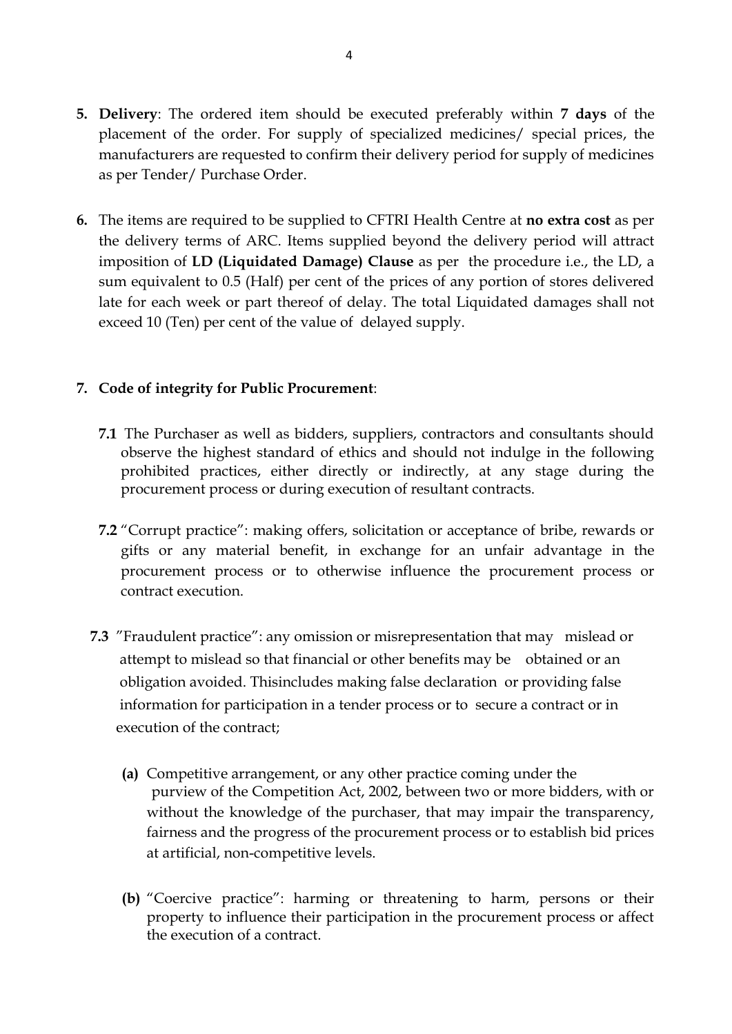- **5. Delivery**: The ordered item should be executed preferably within **7 days** of the placement of the order. For supply of specialized medicines/ special prices, the manufacturers are requested to confirm their delivery period for supply of medicines as per Tender/ Purchase Order.
- **6.** The items are required to be supplied to CFTRI Health Centre at **no extra cost** as per the delivery terms of ARC. Items supplied beyond the delivery period will attract imposition of **LD (Liquidated Damage) Clause** as per the procedure i.e., the LD, a sum equivalent to 0.5 (Half) per cent of the prices of any portion of stores delivered late for each week or part thereof of delay. The total Liquidated damages shall not exceed 10 (Ten) per cent of the value of delayed supply.

#### **7. Code of integrity for Public Procurement**:

- **7.1** The Purchaser as well as bidders, suppliers, contractors and consultants should observe the highest standard of ethics and should not indulge in the following prohibited practices, either directly or indirectly, at any stage during the procurement process or during execution of resultant contracts.
- **7.2** "Corrupt practice": making offers, solicitation or acceptance of bribe, rewards or gifts or any material benefit, in exchange for an unfair advantage in the procurement process or to otherwise influence the procurement process or contract execution.
- **7.3** "Fraudulent practice": any omission or misrepresentation that may mislead or attempt to mislead so that financial or other benefits may be obtained or an obligation avoided. Thisincludes making false declaration or providing false information for participation in a tender process or to secure a contract or in execution of the contract;
	- **(a)** Competitive arrangement, or any other practice coming under the purview of the Competition Act, 2002, between two or more bidders, with or without the knowledge of the purchaser, that may impair the transparency, fairness and the progress of the procurement process or to establish bid prices at artificial, non-competitive levels.
	- **(b)** "Coercive practice": harming or threatening to harm, persons or their property to influence their participation in the procurement process or affect the execution of a contract.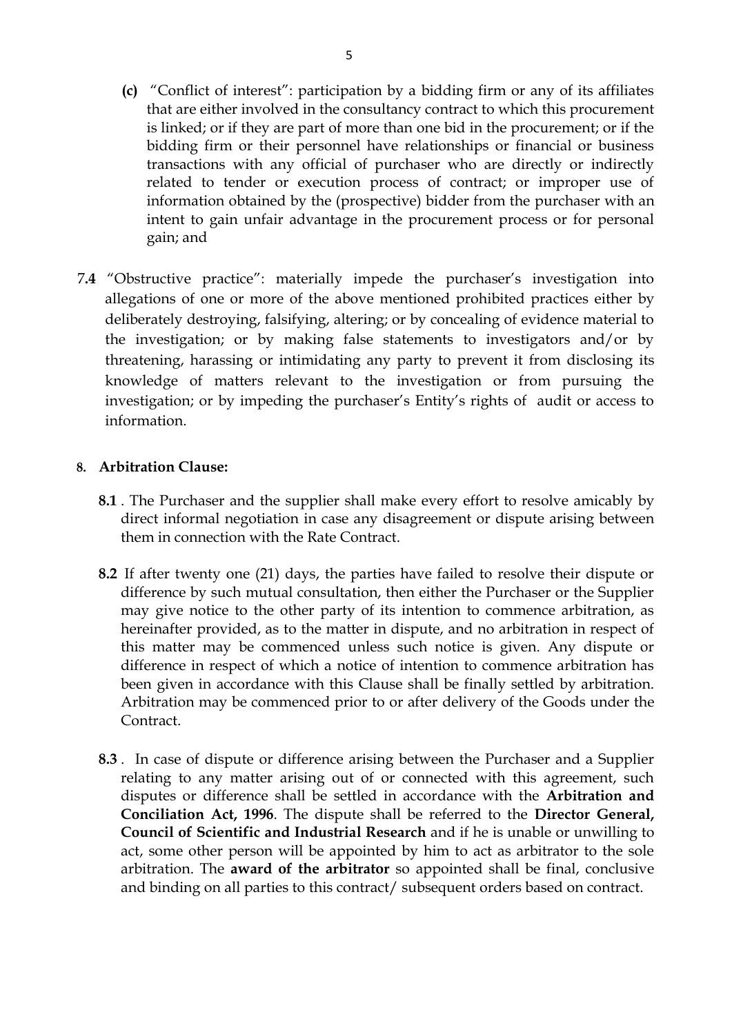- **(c)** "Conflict of interest": participation by a bidding firm or any of its affiliates that are either involved in the consultancy contract to which this procurement is linked; or if they are part of more than one bid in the procurement; or if the bidding firm or their personnel have relationships or financial or business transactions with any official of purchaser who are directly or indirectly related to tender or execution process of contract; or improper use of information obtained by the (prospective) bidder from the purchaser with an intent to gain unfair advantage in the procurement process or for personal gain; and
- 7**.4** "Obstructive practice": materially impede the purchaser's investigation into allegations of one or more of the above mentioned prohibited practices either by deliberately destroying, falsifying, altering; or by concealing of evidence material to the investigation; or by making false statements to investigators and/or by threatening, harassing or intimidating any party to prevent it from disclosing its knowledge of matters relevant to the investigation or from pursuing the investigation; or by impeding the purchaser's Entity's rights of audit or access to information.

#### **8. Arbitration Clause:**

- **8.1** . The Purchaser and the supplier shall make every effort to resolve amicably by direct informal negotiation in case any disagreement or dispute arising between them in connection with the Rate Contract.
- **8.2** If after twenty one (21) days, the parties have failed to resolve their dispute or difference by such mutual consultation, then either the Purchaser or the Supplier may give notice to the other party of its intention to commence arbitration, as hereinafter provided, as to the matter in dispute, and no arbitration in respect of this matter may be commenced unless such notice is given. Any dispute or difference in respect of which a notice of intention to commence arbitration has been given in accordance with this Clause shall be finally settled by arbitration. Arbitration may be commenced prior to or after delivery of the Goods under the Contract.
- **8.3** . In case of dispute or difference arising between the Purchaser and a Supplier relating to any matter arising out of or connected with this agreement, such disputes or difference shall be settled in accordance with the **Arbitration and Conciliation Act, 1996**. The dispute shall be referred to the **Director General, Council of Scientific and Industrial Research** and if he is unable or unwilling to act, some other person will be appointed by him to act as arbitrator to the sole arbitration. The **award of the arbitrator** so appointed shall be final, conclusive and binding on all parties to this contract/ subsequent orders based on contract.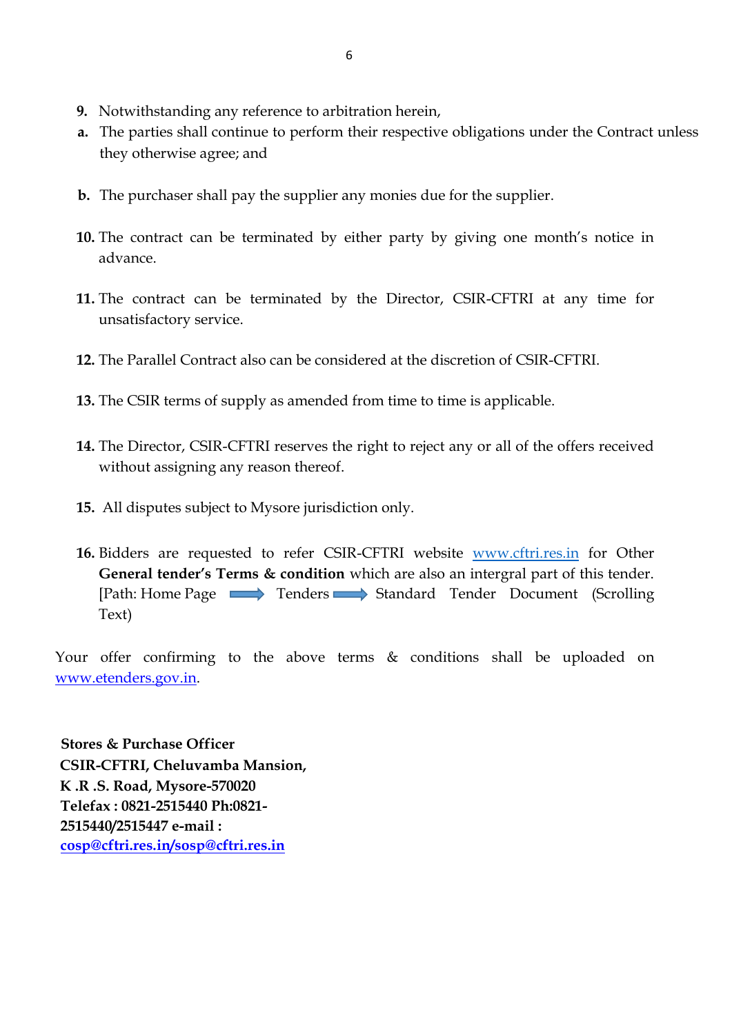- **9.** Notwithstanding any reference to arbitration herein,
- **a.** The parties shall continue to perform their respective obligations under the Contract unless they otherwise agree; and
- **b.** The purchaser shall pay the supplier any monies due for the supplier.
- **10.** The contract can be terminated by either party by giving one month's notice in advance.
- **11.** The contract can be terminated by the Director, CSIR-CFTRI at any time for unsatisfactory service.
- **12.** The Parallel Contract also can be considered at the discretion of CSIR-CFTRI.
- **13.** The CSIR terms of supply as amended from time to time is applicable.
- **14.** The Director, CSIR-CFTRI reserves the right to reject any or all of the offers received without assigning any reason thereof.
- **15.** All disputes subject to Mysore jurisdiction only.
- **16.** Bidders are requested to refer CSIR-CFTRI website [www.cftri.res.in](http://www.cftri.res.in/) for Other **General tender's Terms & condition** which are also an intergral part of this tender. [Path: Home Page Tenders Standard Tender Document (Scrolling Text)

Your offer confirming to the above terms  $\&$  conditions shall be uploaded on [www.etenders.gov.in.](http://www.etenders.gov.in/) 

**Stores & Purchase Officer CSIR-CFTRI, Cheluvamba Mansion, K .R .S. Road, Mysore-570020 Telefax : 0821-2515440 Ph:0821- 2515440/2515447 e-mail : cosp@cftri.res.in/sosp@cftri.res.in**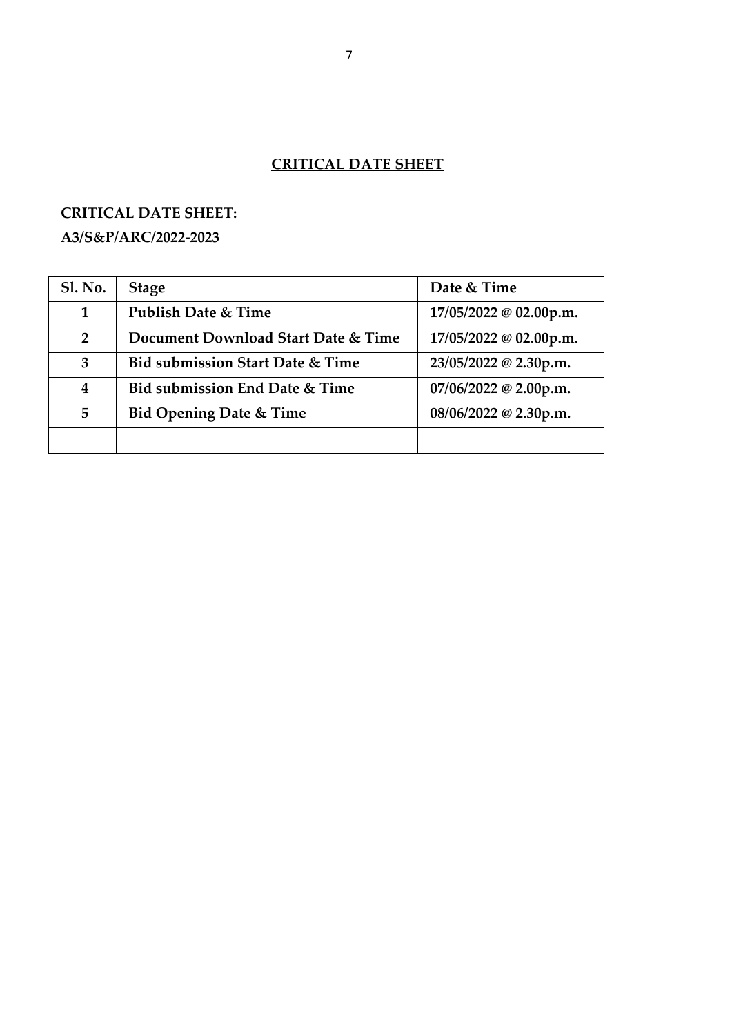# **CRITICAL DATE SHEET**

# **CRITICAL DATE SHEET:**

## **A3/S&P/ARC/2022-2023**

| <b>Sl. No.</b>          | <b>Stage</b>                                | Date & Time            |
|-------------------------|---------------------------------------------|------------------------|
| 1                       | Publish Date & Time                         | 17/05/2022 @ 02.00p.m. |
| $\overline{2}$          | Document Download Start Date & Time         | 17/05/2022 @ 02.00p.m. |
| 3                       | <b>Bid submission Start Date &amp; Time</b> | 23/05/2022 @ 2.30p.m.  |
| $\overline{\mathbf{4}}$ | Bid submission End Date & Time              | 07/06/2022 @ 2.00p.m.  |
| 5                       | <b>Bid Opening Date &amp; Time</b>          | 08/06/2022 @ 2.30p.m.  |
|                         |                                             |                        |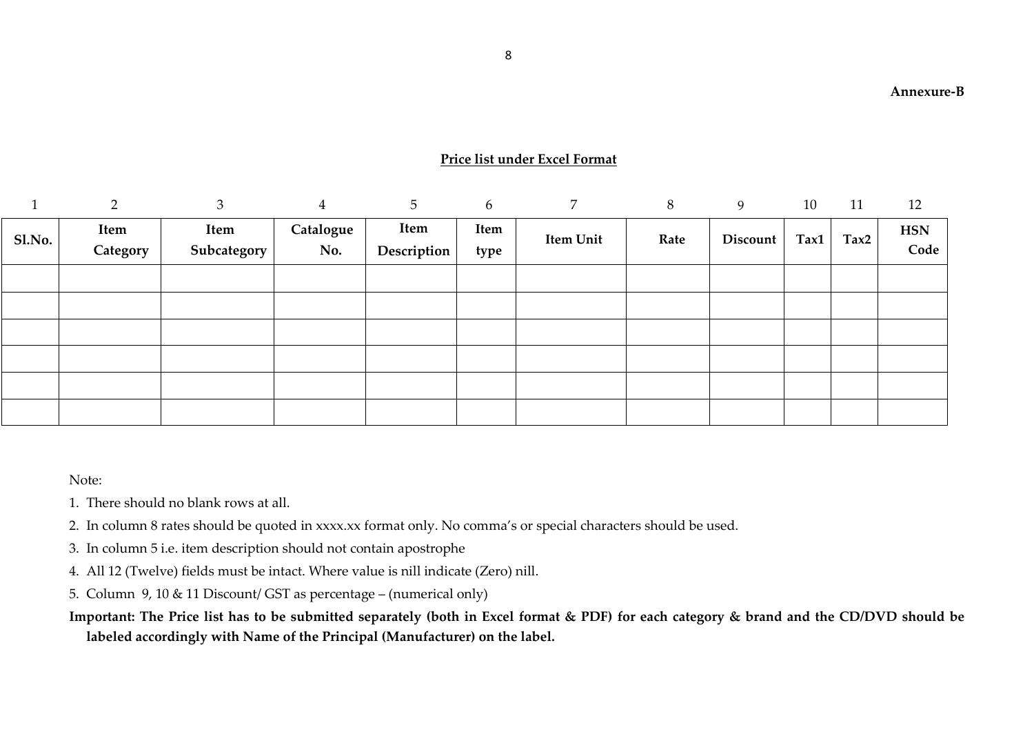#### **Price list under Excel Format**

|        | $\mathcal{D}$ | 3           | 4         | 5           | 6    | 7         | 8    | 9        | 10   | 11   | 12         |
|--------|---------------|-------------|-----------|-------------|------|-----------|------|----------|------|------|------------|
| Sl.No. | Item          | Item        | Catalogue | Item        | Item |           | Rate | Discount | Tax1 | Tax2 | <b>HSN</b> |
|        | Category      | Subcategory | No.       | Description | type | Item Unit |      |          |      |      | Code       |
|        |               |             |           |             |      |           |      |          |      |      |            |
|        |               |             |           |             |      |           |      |          |      |      |            |
|        |               |             |           |             |      |           |      |          |      |      |            |
|        |               |             |           |             |      |           |      |          |      |      |            |
|        |               |             |           |             |      |           |      |          |      |      |            |
|        |               |             |           |             |      |           |      |          |      |      |            |

Note:

- 1. There should no blank rows at all.
- 2. In column 8 rates should be quoted in xxxx.xx format only. No comma's or special characters should be used.
- 3. In column 5 i.e. item description should not contain apostrophe
- 4. All 12 (Twelve) fields must be intact. Where value is nill indicate (Zero) nill.
- 5. Column 9, 10 & 11 Discount/ GST as percentage (numerical only)
- **Important: The Price list has to be submitted separately (both in Excel format & PDF) for each category & brand and the CD/DVD should be labeled accordingly with Name of the Principal (Manufacturer) on the label.**